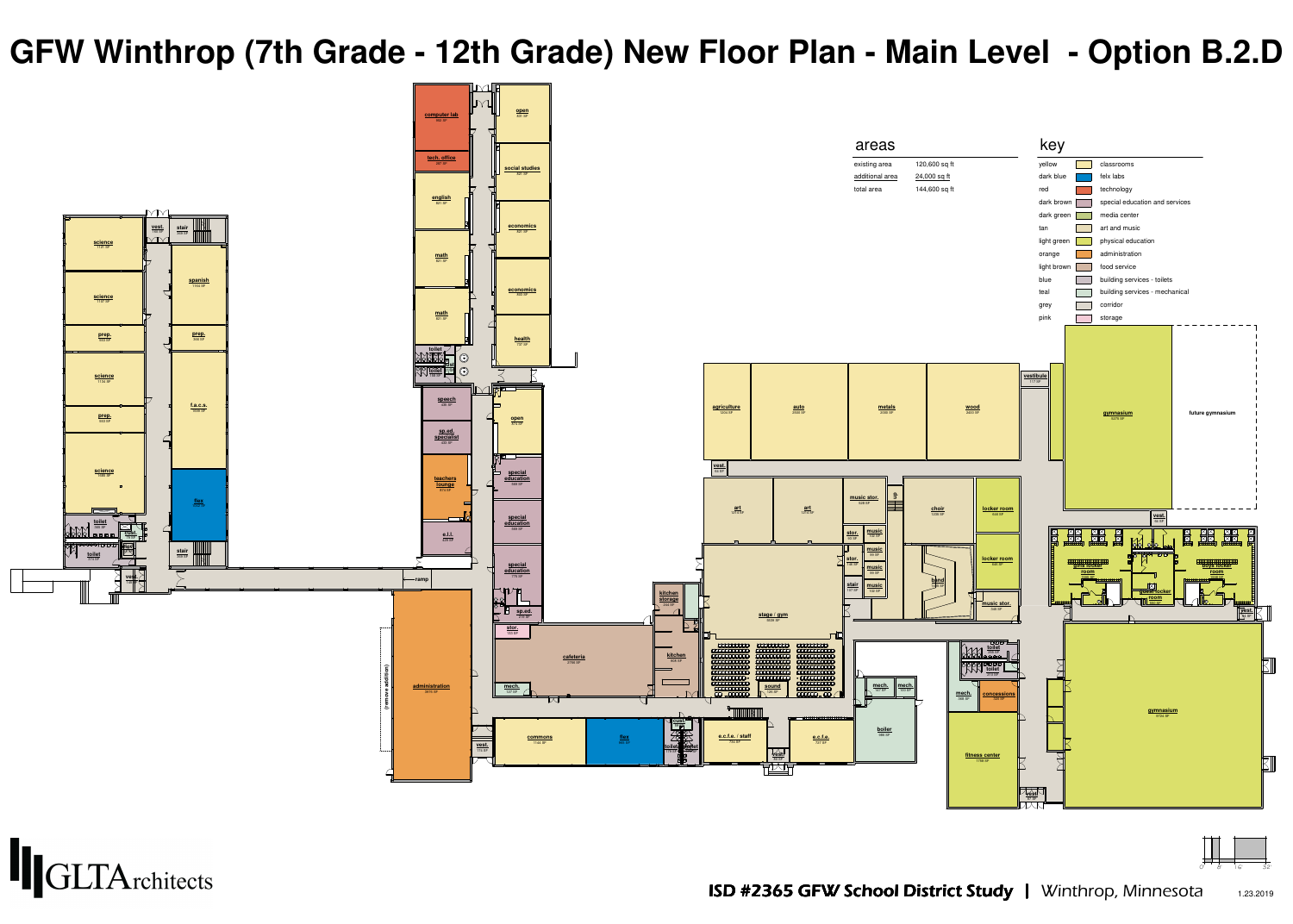



**(remove addition)**



## **GFW Winthrop (7th Grade - 12th Grade) New Floor Plan - Main Level - Option B.2.D**

ISD #2365 GFW School District Study